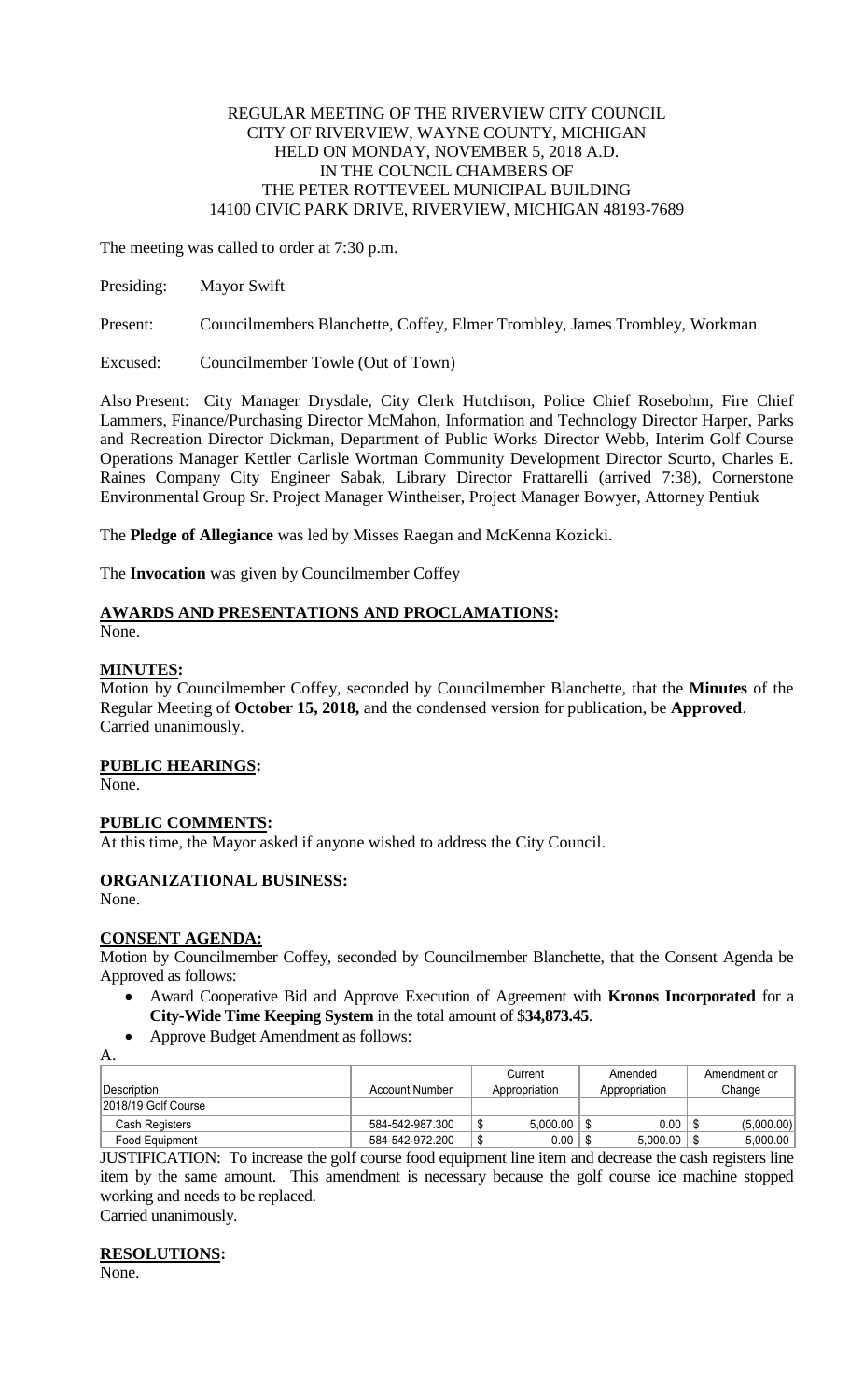## REGULAR MEETING OF THE RIVERVIEW CITY COUNCIL CITY OF RIVERVIEW, WAYNE COUNTY, MICHIGAN HELD ON MONDAY, NOVEMBER 5, 2018 A.D. IN THE COUNCIL CHAMBERS OF THE PETER ROTTEVEEL MUNICIPAL BUILDING 14100 CIVIC PARK DRIVE, RIVERVIEW, MICHIGAN 48193-7689

The meeting was called to order at 7:30 p.m.

Presiding: Mayor Swift

Present: Councilmembers Blanchette, Coffey, Elmer Trombley, James Trombley, Workman

Excused: Councilmember Towle (Out of Town)

Also Present: City Manager Drysdale, City Clerk Hutchison, Police Chief Rosebohm, Fire Chief Lammers, Finance/Purchasing Director McMahon, Information and Technology Director Harper, Parks and Recreation Director Dickman, Department of Public Works Director Webb, Interim Golf Course Operations Manager Kettler Carlisle Wortman Community Development Director Scurto, Charles E. Raines Company City Engineer Sabak, Library Director Frattarelli (arrived 7:38), Cornerstone Environmental Group Sr. Project Manager Wintheiser, Project Manager Bowyer, Attorney Pentiuk

The **Pledge of Allegiance** was led by Misses Raegan and McKenna Kozicki.

The **Invocation** was given by Councilmember Coffey

# **AWARDS AND PRESENTATIONS AND PROCLAMATIONS:**

None.

# **MINUTES:**

Motion by Councilmember Coffey, seconded by Councilmember Blanchette, that the **Minutes** of the Regular Meeting of **October 15, 2018,** and the condensed version for publication, be **Approved**. Carried unanimously.

# **PUBLIC HEARINGS:**

None.

# **PUBLIC COMMENTS:**

At this time, the Mayor asked if anyone wished to address the City Council.

# **ORGANIZATIONAL BUSINESS:**

None.

## **CONSENT AGENDA:**

Motion by Councilmember Coffey, seconded by Councilmember Blanchette, that the Consent Agenda be Approved as follows:

- Award Cooperative Bid and Approve Execution of Agreement with **Kronos Incorporated** for a **City-Wide Time Keeping System** in the total amount of \$**34,873.45**.
- Approve Budget Amendment as follows:
- A.

|                     |                 | Current             | Amended       | Amendment or |
|---------------------|-----------------|---------------------|---------------|--------------|
| ∣Description_       | Account Number  | Appropriation       | Appropriation | Change       |
| 2018/19 Golf Course |                 |                     |               |              |
| Cash Registers      | 584-542-987.300 | 5.000.00<br>െ<br>۰D | $0.00$        | (5,000.00)   |
| Food Equipment      | 584-542-972.200 | $0.00\,$<br>₼<br>۰D | 5.000.00      | 5,000.00     |

JUSTIFICATION: To increase the golf course food equipment line item and decrease the cash registers line item by the same amount. This amendment is necessary because the golf course ice machine stopped working and needs to be replaced.

Carried unanimously.

## **RESOLUTIONS:**

None.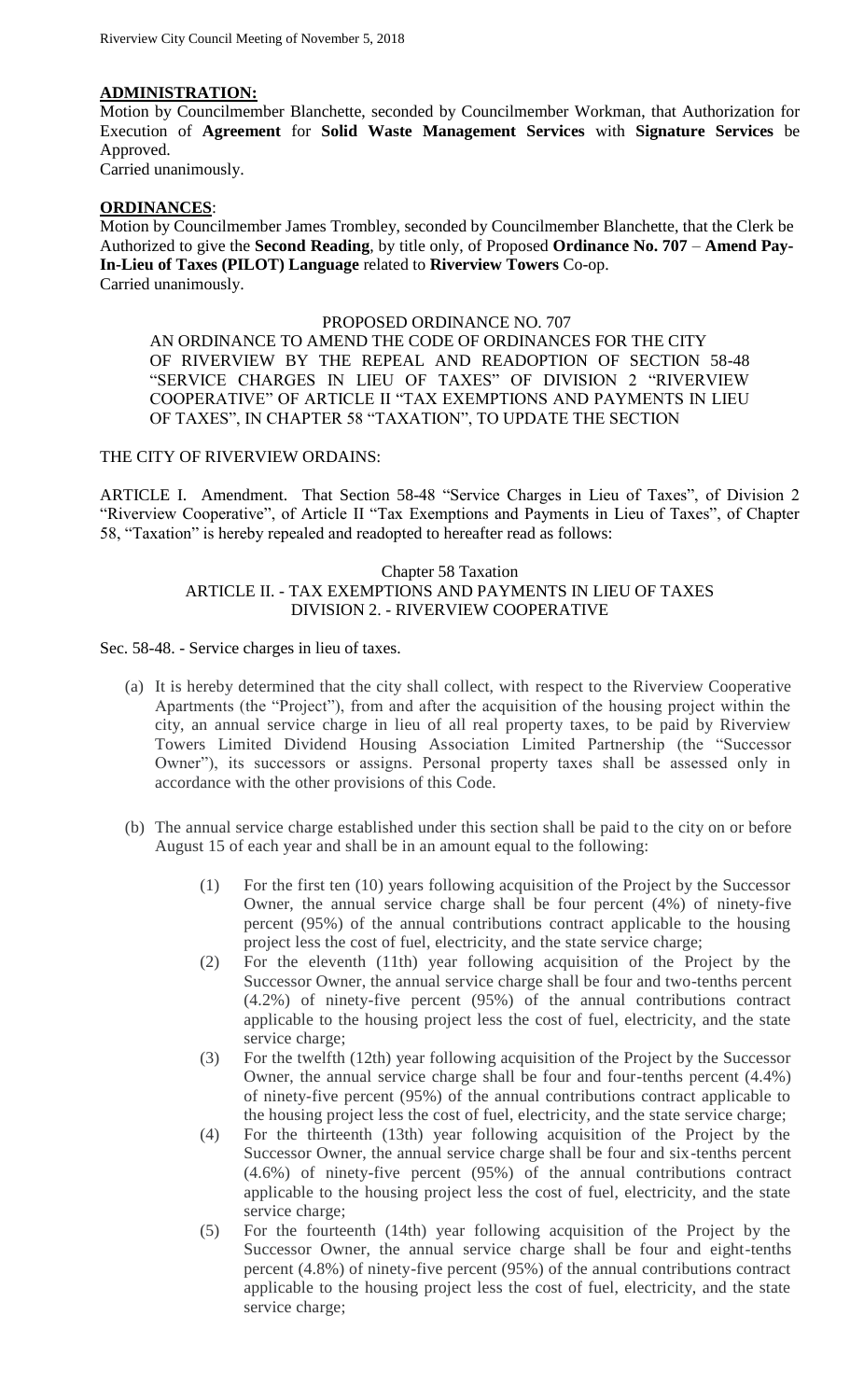## **ADMINISTRATION:**

Motion by Councilmember Blanchette, seconded by Councilmember Workman, that Authorization for Execution of **Agreement** for **Solid Waste Management Services** with **Signature Services** be Approved.

Carried unanimously.

#### **ORDINANCES**:

Motion by Councilmember James Trombley, seconded by Councilmember Blanchette, that the Clerk be Authorized to give the **Second Reading**, by title only, of Proposed **Ordinance No. 707** – **Amend Pay-In-Lieu of Taxes (PILOT) Language** related to **Riverview Towers** Co-op. Carried unanimously.

#### PROPOSED ORDINANCE NO. 707

AN ORDINANCE TO AMEND THE CODE OF ORDINANCES FOR THE CITY OF RIVERVIEW BY THE REPEAL AND READOPTION OF SECTION 58-48 "SERVICE CHARGES IN LIEU OF TAXES" OF DIVISION 2 "RIVERVIEW COOPERATIVE" OF ARTICLE II "TAX EXEMPTIONS AND PAYMENTS IN LIEU OF TAXES", IN CHAPTER 58 "TAXATION", TO UPDATE THE SECTION

# THE CITY OF RIVERVIEW ORDAINS:

ARTICLE I. Amendment. That Section 58-48 "Service Charges in Lieu of Taxes", of Division 2 "Riverview Cooperative", of Article II "Tax Exemptions and Payments in Lieu of Taxes", of Chapter 58, "Taxation" is hereby repealed and readopted to hereafter read as follows:

## Chapter 58 Taxation ARTICLE II. - TAX EXEMPTIONS AND PAYMENTS IN LIEU OF TAXES DIVISION 2. - RIVERVIEW COOPERATIVE

#### Sec. 58-48. - Service charges in lieu of taxes.

- (a) It is hereby determined that the city shall collect, with respect to the Riverview Cooperative Apartments (the "Project"), from and after the acquisition of the housing project within the city, an annual service charge in lieu of all real property taxes, to be paid by Riverview Towers Limited Dividend Housing Association Limited Partnership (the "Successor Owner"), its successors or assigns. Personal property taxes shall be assessed only in accordance with the other provisions of this Code.
- (b) The annual service charge established under this section shall be paid to the city on or before August 15 of each year and shall be in an amount equal to the following:
	- (1) For the first ten (10) years following acquisition of the Project by the Successor Owner, the annual service charge shall be four percent (4%) of ninety-five percent (95%) of the annual contributions contract applicable to the housing project less the cost of fuel, electricity, and the state service charge;
	- (2) For the eleventh (11th) year following acquisition of the Project by the Successor Owner, the annual service charge shall be four and two-tenths percent (4.2%) of ninety-five percent (95%) of the annual contributions contract applicable to the housing project less the cost of fuel, electricity, and the state service charge;
	- (3) For the twelfth (12th) year following acquisition of the Project by the Successor Owner, the annual service charge shall be four and four-tenths percent (4.4%) of ninety-five percent (95%) of the annual contributions contract applicable to the housing project less the cost of fuel, electricity, and the state service charge;
	- (4) For the thirteenth (13th) year following acquisition of the Project by the Successor Owner, the annual service charge shall be four and six-tenths percent (4.6%) of ninety-five percent (95%) of the annual contributions contract applicable to the housing project less the cost of fuel, electricity, and the state service charge;
	- (5) For the fourteenth (14th) year following acquisition of the Project by the Successor Owner, the annual service charge shall be four and eight-tenths percent (4.8%) of ninety-five percent (95%) of the annual contributions contract applicable to the housing project less the cost of fuel, electricity, and the state service charge;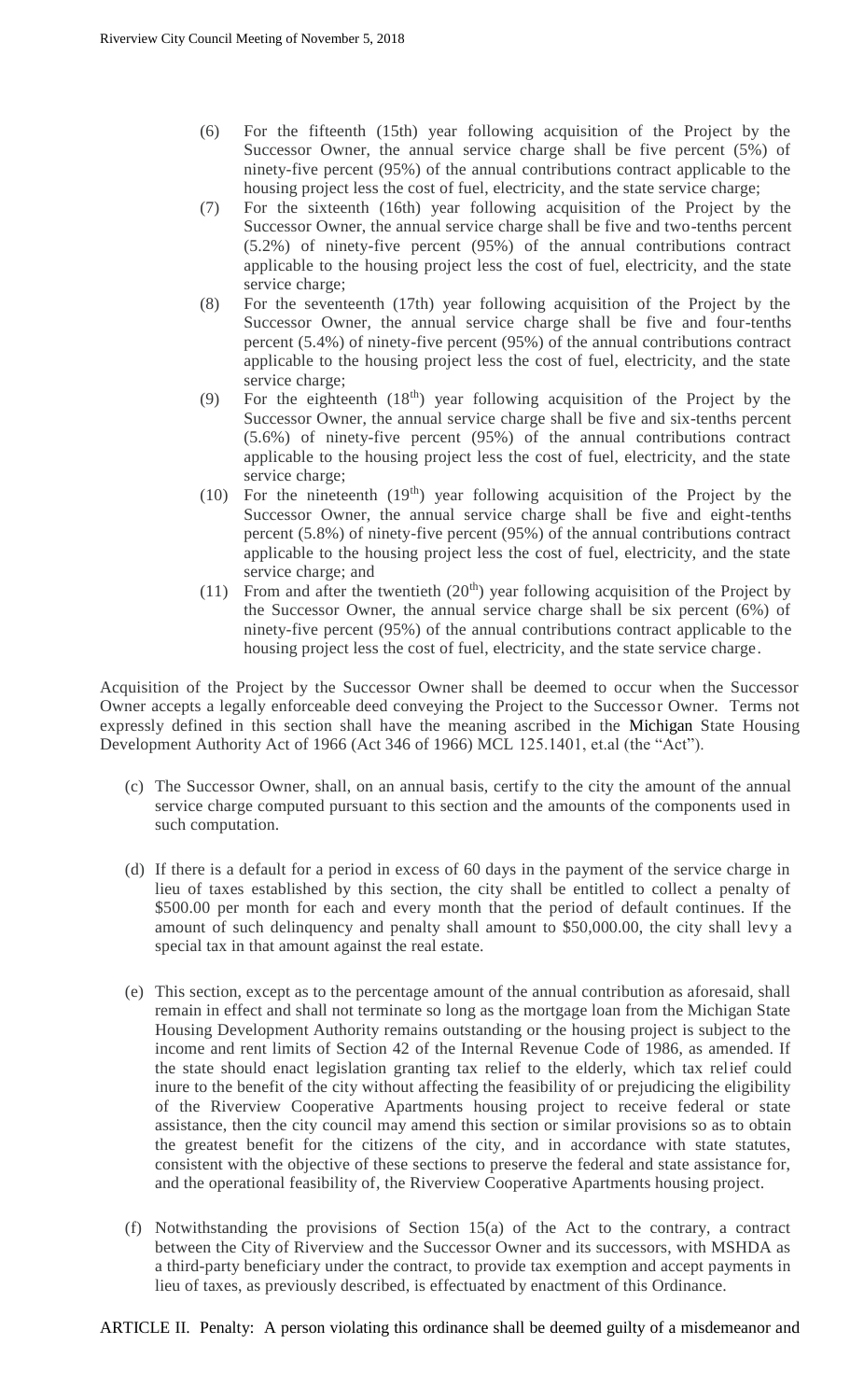- (6) For the fifteenth (15th) year following acquisition of the Project by the Successor Owner, the annual service charge shall be five percent (5%) of ninety-five percent (95%) of the annual contributions contract applicable to the housing project less the cost of fuel, electricity, and the state service charge;
- (7) For the sixteenth (16th) year following acquisition of the Project by the Successor Owner, the annual service charge shall be five and two-tenths percent (5.2%) of ninety-five percent (95%) of the annual contributions contract applicable to the housing project less the cost of fuel, electricity, and the state service charge;
- (8) For the seventeenth (17th) year following acquisition of the Project by the Successor Owner, the annual service charge shall be five and four-tenths percent (5.4%) of ninety-five percent (95%) of the annual contributions contract applicable to the housing project less the cost of fuel, electricity, and the state service charge;
- (9) For the eighteenth  $(18<sup>th</sup>)$  year following acquisition of the Project by the Successor Owner, the annual service charge shall be five and six-tenths percent (5.6%) of ninety-five percent (95%) of the annual contributions contract applicable to the housing project less the cost of fuel, electricity, and the state service charge;
- (10) For the nineteenth  $(19<sup>th</sup>)$  year following acquisition of the Project by the Successor Owner, the annual service charge shall be five and eight-tenths percent (5.8%) of ninety-five percent (95%) of the annual contributions contract applicable to the housing project less the cost of fuel, electricity, and the state service charge; and
- (11) From and after the twentieth  $(20<sup>th</sup>)$  year following acquisition of the Project by the Successor Owner, the annual service charge shall be six percent (6%) of ninety-five percent (95%) of the annual contributions contract applicable to the housing project less the cost of fuel, electricity, and the state service charge.

Acquisition of the Project by the Successor Owner shall be deemed to occur when the Successor Owner accepts a legally enforceable deed conveying the Project to the Successor Owner. Terms not expressly defined in this section shall have the meaning ascribed in the Michigan State Housing Development Authority Act of 1966 (Act 346 of 1966) MCL 125.1401, et.al (the "Act").

- (c) The Successor Owner, shall, on an annual basis, certify to the city the amount of the annual service charge computed pursuant to this section and the amounts of the components used in such computation.
- (d) If there is a default for a period in excess of 60 days in the payment of the service charge in lieu of taxes established by this section, the city shall be entitled to collect a penalty of \$500.00 per month for each and every month that the period of default continues. If the amount of such delinquency and penalty shall amount to \$50,000.00, the city shall levy a special tax in that amount against the real estate.
- (e) This section, except as to the percentage amount of the annual contribution as aforesaid, shall remain in effect and shall not terminate so long as the mortgage loan from the Michigan State Housing Development Authority remains outstanding or the housing project is subject to the income and rent limits of Section 42 of the Internal Revenue Code of 1986, as amended. If the state should enact legislation granting tax relief to the elderly, which tax relief could inure to the benefit of the city without affecting the feasibility of or prejudicing the eligibility of the Riverview Cooperative Apartments housing project to receive federal or state assistance, then the city council may amend this section or similar provisions so as to obtain the greatest benefit for the citizens of the city, and in accordance with state statutes, consistent with the objective of these sections to preserve the federal and state assistance for, and the operational feasibility of, the Riverview Cooperative Apartments housing project.
- (f) Notwithstanding the provisions of Section 15(a) of the Act to the contrary, a contract between the City of Riverview and the Successor Owner and its successors, with MSHDA as a third-party beneficiary under the contract, to provide tax exemption and accept payments in lieu of taxes, as previously described, is effectuated by enactment of this Ordinance.

ARTICLE II. Penalty: A person violating this ordinance shall be deemed guilty of a misdemeanor and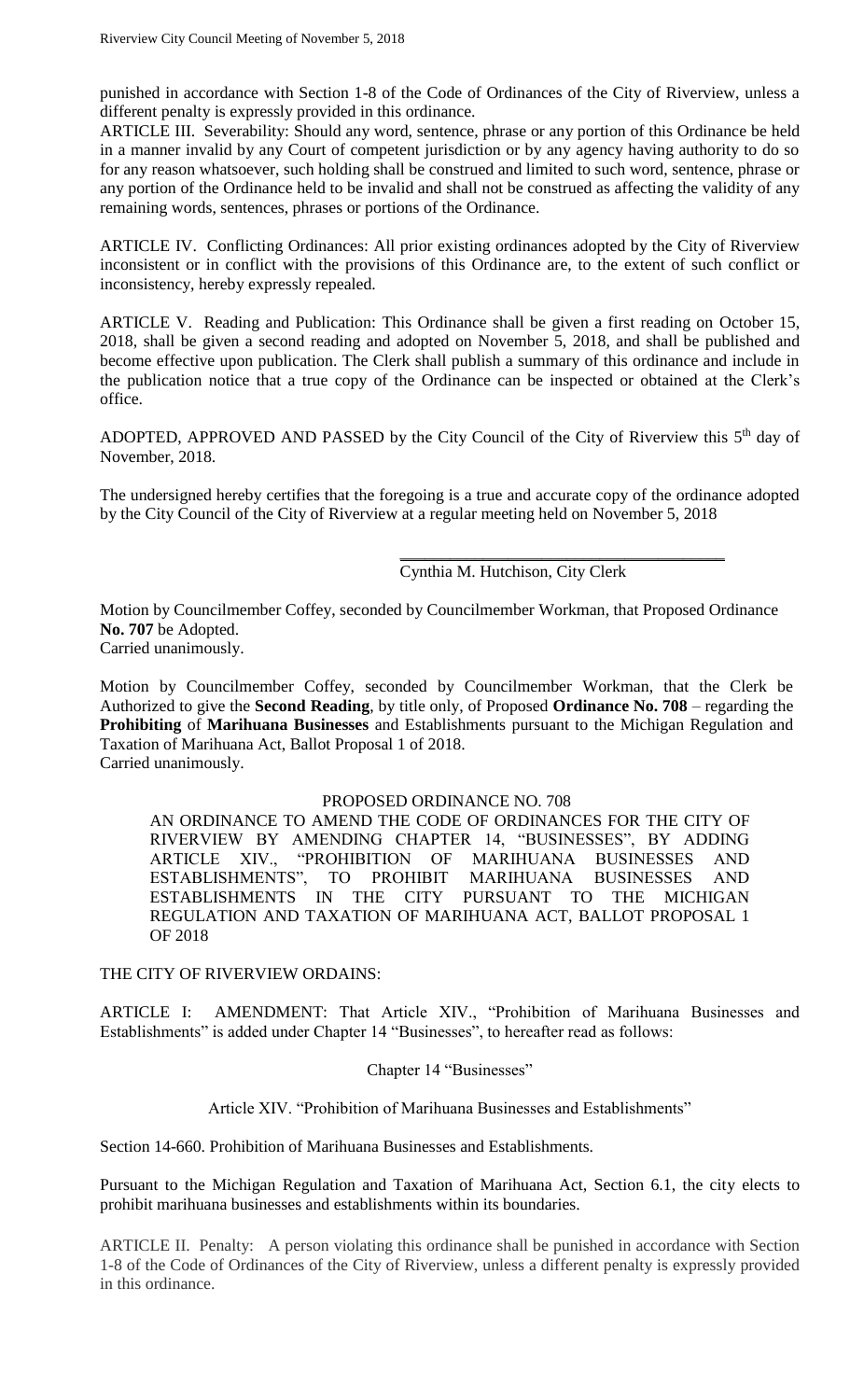punished in accordance with Section 1-8 of the Code of Ordinances of the City of Riverview, unless a different penalty is expressly provided in this ordinance.

ARTICLE III. Severability: Should any word, sentence, phrase or any portion of this Ordinance be held in a manner invalid by any Court of competent jurisdiction or by any agency having authority to do so for any reason whatsoever, such holding shall be construed and limited to such word, sentence, phrase or any portion of the Ordinance held to be invalid and shall not be construed as affecting the validity of any remaining words, sentences, phrases or portions of the Ordinance.

ARTICLE IV. Conflicting Ordinances: All prior existing ordinances adopted by the City of Riverview inconsistent or in conflict with the provisions of this Ordinance are, to the extent of such conflict or inconsistency, hereby expressly repealed.

ARTICLE V. Reading and Publication: This Ordinance shall be given a first reading on October 15, 2018, shall be given a second reading and adopted on November 5, 2018, and shall be published and become effective upon publication. The Clerk shall publish a summary of this ordinance and include in the publication notice that a true copy of the Ordinance can be inspected or obtained at the Clerk's office.

ADOPTED, APPROVED AND PASSED by the City Council of the City of Riverview this  $5<sup>th</sup>$  day of November, 2018.

The undersigned hereby certifies that the foregoing is a true and accurate copy of the ordinance adopted by the City Council of the City of Riverview at a regular meeting held on November 5, 2018

# Cynthia M. Hutchison, City Clerk

\_\_\_\_\_\_\_\_\_\_\_\_\_\_\_\_\_\_\_\_\_\_\_\_\_\_\_\_\_\_\_\_\_\_\_\_\_\_\_

Motion by Councilmember Coffey, seconded by Councilmember Workman, that Proposed Ordinance **No. 707** be Adopted.

Carried unanimously.

Motion by Councilmember Coffey, seconded by Councilmember Workman, that the Clerk be Authorized to give the **Second Reading**, by title only, of Proposed **Ordinance No. 708** – regarding the **Prohibiting** of **Marihuana Businesses** and Establishments pursuant to the Michigan Regulation and Taxation of Marihuana Act, Ballot Proposal 1 of 2018. Carried unanimously.

## PROPOSED ORDINANCE NO. 708

AN ORDINANCE TO AMEND THE CODE OF ORDINANCES FOR THE CITY OF RIVERVIEW BY AMENDING CHAPTER 14, "BUSINESSES", BY ADDING ARTICLE XIV., "PROHIBITION OF MARIHUANA BUSINESSES AND ESTABLISHMENTS", TO PROHIBIT MARIHUANA BUSINESSES AND ESTABLISHMENTS IN THE CITY PURSUANT TO THE MICHIGAN REGULATION AND TAXATION OF MARIHUANA ACT, BALLOT PROPOSAL 1 OF 2018

THE CITY OF RIVERVIEW ORDAINS:

ARTICLE I: AMENDMENT: That Article XIV., "Prohibition of Marihuana Businesses and Establishments" is added under Chapter 14 "Businesses", to hereafter read as follows:

## Chapter 14 "Businesses"

Article XIV. "Prohibition of Marihuana Businesses and Establishments"

Section 14-660. Prohibition of Marihuana Businesses and Establishments.

Pursuant to the Michigan Regulation and Taxation of Marihuana Act, Section 6.1, the city elects to prohibit marihuana businesses and establishments within its boundaries.

ARTICLE II. Penalty: A person violating this ordinance shall be punished in accordance with Section 1-8 of the Code of Ordinances of the City of Riverview, unless a different penalty is expressly provided in this ordinance.